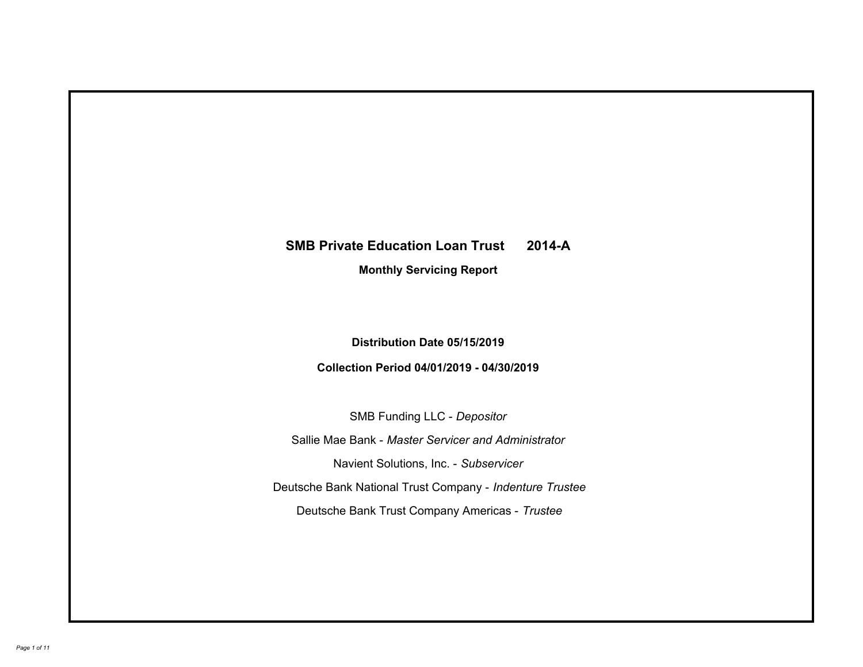# **SMB Private Education Loan Trust 2014-A Monthly Servicing Report**

# **Distribution Date 05/15/2019**

# **Collection Period 04/01/2019 - 04/30/2019**

SMB Funding LLC - *Depositor*

Sallie Mae Bank - *Master Servicer and Administrator*

Navient Solutions, Inc. - *Subservicer*

Deutsche Bank National Trust Company - *Indenture Trustee*

Deutsche Bank Trust Company Americas - *Trustee*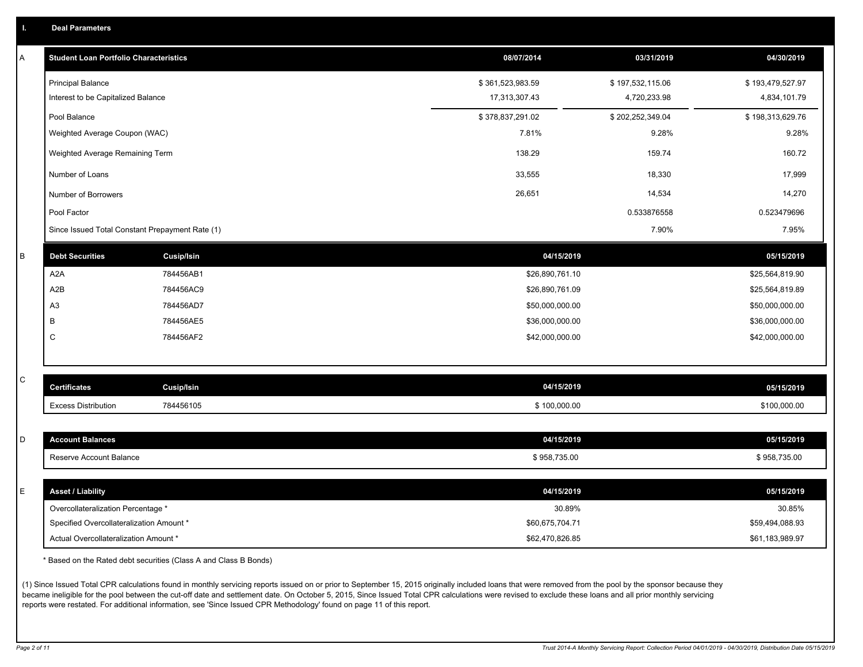|  |  |  | <b>Deal Parameters</b> |  |
|--|--|--|------------------------|--|
|--|--|--|------------------------|--|

| A | <b>Student Loan Portfolio Characteristics</b>   |                   | 08/07/2014       | 03/31/2019       | 04/30/2019       |
|---|-------------------------------------------------|-------------------|------------------|------------------|------------------|
|   | <b>Principal Balance</b>                        |                   | \$361,523,983.59 | \$197,532,115.06 | \$193,479,527.97 |
|   | Interest to be Capitalized Balance              |                   | 17,313,307.43    | 4,720,233.98     | 4,834,101.79     |
|   | Pool Balance                                    |                   | \$378,837,291.02 | \$202,252,349.04 | \$198,313,629.76 |
|   | Weighted Average Coupon (WAC)                   |                   | 7.81%            | 9.28%            | 9.28%            |
|   | Weighted Average Remaining Term                 |                   | 138.29           | 159.74           | 160.72           |
|   | Number of Loans                                 |                   | 33,555           | 18,330           | 17,999           |
|   | Number of Borrowers                             |                   | 26,651           | 14,534           | 14,270           |
|   | Pool Factor                                     |                   |                  | 0.533876558      | 0.523479696      |
|   | Since Issued Total Constant Prepayment Rate (1) |                   |                  | 7.90%            | 7.95%            |
| B | <b>Debt Securities</b>                          | <b>Cusip/Isin</b> | 04/15/2019       |                  | 05/15/2019       |
|   | A2A                                             | 784456AB1         | \$26,890,761.10  |                  | \$25,564,819.90  |
|   | A2B                                             | 784456AC9         | \$26,890,761.09  |                  | \$25,564,819.89  |
|   | A <sub>3</sub>                                  | 784456AD7         | \$50,000,000.00  |                  | \$50,000,000.00  |
|   | B                                               | 784456AE5         | \$36,000,000.00  |                  | \$36,000,000.00  |
|   | C                                               | 784456AF2         | \$42,000,000.00  |                  | \$42,000,000.00  |
|   |                                                 |                   |                  |                  |                  |
| С | <b>Certificates</b>                             | <b>Cusip/Isin</b> | 04/15/2019       |                  | 05/15/2019       |
|   | <b>Excess Distribution</b>                      | 784456105         | \$100,000.00     |                  | \$100,000.00     |
|   |                                                 |                   |                  |                  |                  |
| D | <b>Account Balances</b>                         |                   | 04/15/2019       |                  | 05/15/2019       |
|   | Reserve Account Balance                         |                   | \$958,735.00     |                  | \$958,735.00     |
|   |                                                 |                   |                  |                  |                  |
| E | <b>Asset / Liability</b>                        |                   | 04/15/2019       |                  | 05/15/2019       |
|   | Overcollateralization Percentage *              |                   | 30.89%           |                  | 30.85%           |
|   | Specified Overcollateralization Amount *        |                   | \$60,675,704.71  |                  | \$59,494,088.93  |
|   | Actual Overcollateralization Amount *           |                   | \$62.470.826.85  |                  | \$61.183.989.97  |

\* Based on the Rated debt securities (Class A and Class B Bonds)

(1) Since Issued Total CPR calculations found in monthly servicing reports issued on or prior to September 15, 2015 originally included loans that were removed from the pool by the sponsor because they became ineligible for the pool between the cut-off date and settlement date. On October 5, 2015, Since Issued Total CPR calculations were revised to exclude these loans and all prior monthly servicing reports were restated. For additional information, see 'Since Issued CPR Methodology' found on page 11 of this report.

*Page 2 of 11 Trust 2014-A Monthly Servicing Report: Collection Period 04/01/2019 - 04/30/2019, Distribution Date 05/15/2019*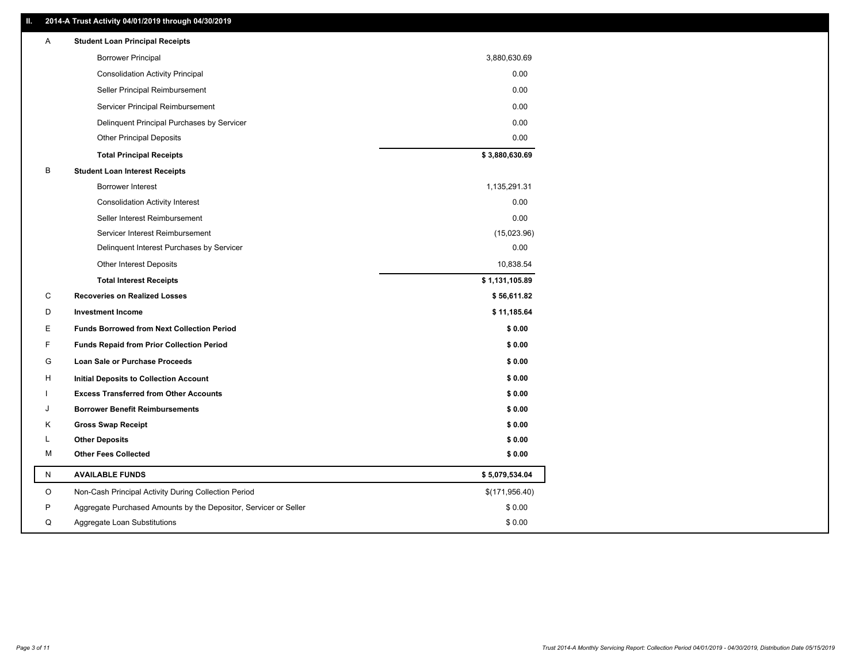### **II. 2014-A Trust Activity 04/01/2019 through 04/30/2019**

| Α         | <b>Student Loan Principal Receipts</b>                           |                |
|-----------|------------------------------------------------------------------|----------------|
|           | <b>Borrower Principal</b>                                        | 3,880,630.69   |
|           | <b>Consolidation Activity Principal</b>                          | 0.00           |
|           | Seller Principal Reimbursement                                   | 0.00           |
|           | Servicer Principal Reimbursement                                 | 0.00           |
|           | Delinquent Principal Purchases by Servicer                       | 0.00           |
|           | <b>Other Principal Deposits</b>                                  | 0.00           |
|           | <b>Total Principal Receipts</b>                                  | \$3,880,630.69 |
| B         | <b>Student Loan Interest Receipts</b>                            |                |
|           | <b>Borrower Interest</b>                                         | 1,135,291.31   |
|           | <b>Consolidation Activity Interest</b>                           | 0.00           |
|           | Seller Interest Reimbursement                                    | 0.00           |
|           | Servicer Interest Reimbursement                                  | (15,023.96)    |
|           | Delinquent Interest Purchases by Servicer                        | 0.00           |
|           | <b>Other Interest Deposits</b>                                   | 10,838.54      |
|           | <b>Total Interest Receipts</b>                                   | \$1,131,105.89 |
| C         | <b>Recoveries on Realized Losses</b>                             | \$56,611.82    |
| D         | <b>Investment Income</b>                                         | \$11,185.64    |
| Е         | <b>Funds Borrowed from Next Collection Period</b>                | \$0.00         |
| F.        | <b>Funds Repaid from Prior Collection Period</b>                 | \$0.00         |
| G         | <b>Loan Sale or Purchase Proceeds</b>                            | \$0.00         |
| н         | <b>Initial Deposits to Collection Account</b>                    | \$0.00         |
|           | <b>Excess Transferred from Other Accounts</b>                    | \$0.00         |
|           | <b>Borrower Benefit Reimbursements</b>                           | \$0.00         |
| Κ         | <b>Gross Swap Receipt</b>                                        | \$0.00         |
| Г         | <b>Other Deposits</b>                                            | \$0.00         |
| М         | <b>Other Fees Collected</b>                                      | \$0.00         |
| ${\sf N}$ | <b>AVAILABLE FUNDS</b>                                           | \$5,079,534.04 |
| O         | Non-Cash Principal Activity During Collection Period             | \$(171,956.40) |
| P         | Aggregate Purchased Amounts by the Depositor, Servicer or Seller | \$0.00         |
| Q         | Aggregate Loan Substitutions                                     | \$0.00         |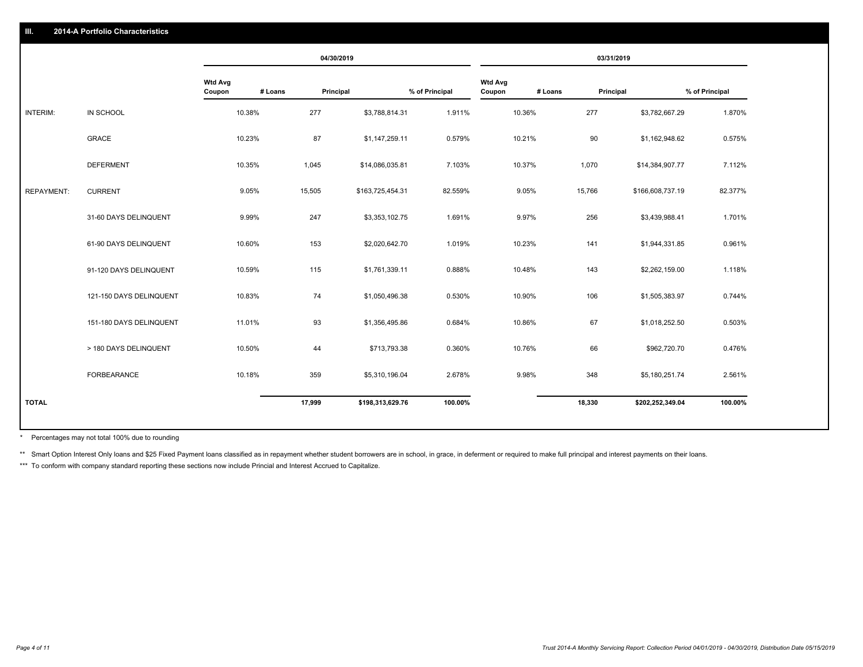|                   |                         |                                     | 04/30/2019 |                  |                |                                     | 03/31/2019 |                  |                |
|-------------------|-------------------------|-------------------------------------|------------|------------------|----------------|-------------------------------------|------------|------------------|----------------|
|                   |                         | <b>Wtd Avg</b><br># Loans<br>Coupon | Principal  |                  | % of Principal | <b>Wtd Avg</b><br># Loans<br>Coupon | Principal  |                  | % of Principal |
| INTERIM:          | IN SCHOOL               | 10.38%                              | 277        | \$3,788,814.31   | 1.911%         | 10.36%                              | 277        | \$3,782,667.29   | 1.870%         |
|                   | <b>GRACE</b>            | 10.23%                              | 87         | \$1,147,259.11   | 0.579%         | 10.21%                              | 90         | \$1,162,948.62   | 0.575%         |
|                   | <b>DEFERMENT</b>        | 10.35%                              | 1,045      | \$14,086,035.81  | 7.103%         | 10.37%                              | 1,070      | \$14,384,907.77  | 7.112%         |
| <b>REPAYMENT:</b> | <b>CURRENT</b>          | 9.05%                               | 15,505     | \$163,725,454.31 | 82.559%        | 9.05%                               | 15,766     | \$166,608,737.19 | 82.377%        |
|                   | 31-60 DAYS DELINQUENT   | 9.99%                               | 247        | \$3,353,102.75   | 1.691%         | 9.97%                               | 256        | \$3,439,988.41   | 1.701%         |
|                   | 61-90 DAYS DELINQUENT   | 10.60%                              | 153        | \$2,020,642.70   | 1.019%         | 10.23%                              | 141        | \$1,944,331.85   | 0.961%         |
|                   | 91-120 DAYS DELINQUENT  | 10.59%                              | 115        | \$1,761,339.11   | 0.888%         | 10.48%                              | 143        | \$2,262,159.00   | 1.118%         |
|                   | 121-150 DAYS DELINQUENT | 10.83%                              | 74         | \$1,050,496.38   | 0.530%         | 10.90%                              | 106        | \$1,505,383.97   | 0.744%         |
|                   | 151-180 DAYS DELINQUENT | 11.01%                              | 93         | \$1,356,495.86   | 0.684%         | 10.86%                              | 67         | \$1,018,252.50   | 0.503%         |
|                   | > 180 DAYS DELINQUENT   | 10.50%                              | 44         | \$713,793.38     | 0.360%         | 10.76%                              | 66         | \$962,720.70     | 0.476%         |
|                   | FORBEARANCE             | 10.18%                              | 359        | \$5,310,196.04   | 2.678%         | 9.98%                               | 348        | \$5,180,251.74   | 2.561%         |
| <b>TOTAL</b>      |                         |                                     | 17,999     | \$198,313,629.76 | 100.00%        |                                     | 18,330     | \$202,252,349.04 | 100.00%        |

Percentages may not total 100% due to rounding \*

\*\* Smart Option Interest Only loans and \$25 Fixed Payment loans classified as in repayment whether student borrowers are in school, in grace, in deferment or required to make full principal and interest payments on their l

\*\*\* To conform with company standard reporting these sections now include Princial and Interest Accrued to Capitalize.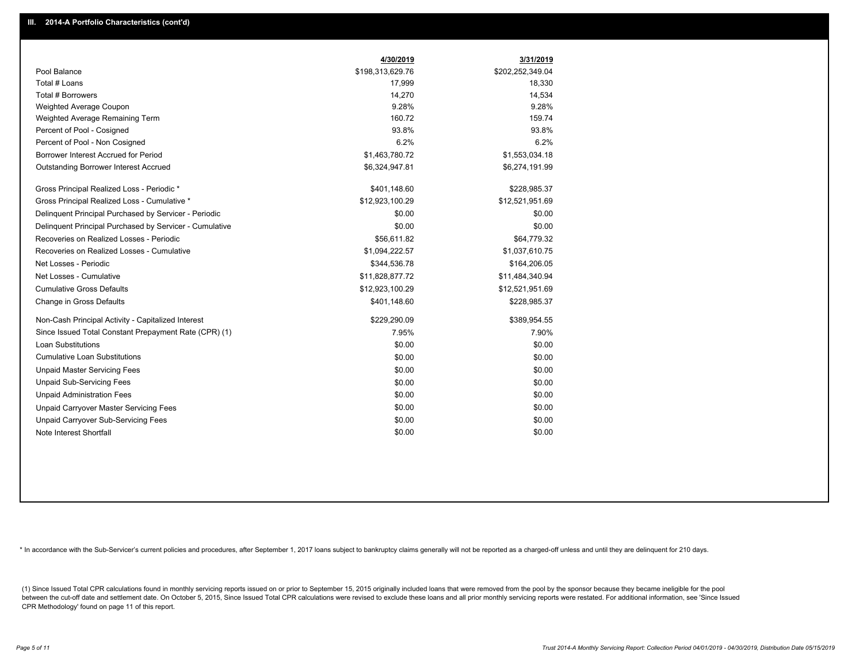|                                                         | 4/30/2019        | 3/31/2019        |
|---------------------------------------------------------|------------------|------------------|
| Pool Balance                                            | \$198,313,629.76 | \$202,252,349.04 |
| Total # Loans                                           | 17,999           | 18,330           |
| Total # Borrowers                                       | 14,270           | 14,534           |
| Weighted Average Coupon                                 | 9.28%            | 9.28%            |
| Weighted Average Remaining Term                         | 160.72           | 159.74           |
| Percent of Pool - Cosigned                              | 93.8%            | 93.8%            |
| Percent of Pool - Non Cosigned                          | 6.2%             | 6.2%             |
| Borrower Interest Accrued for Period                    | \$1,463,780.72   | \$1,553,034.18   |
| <b>Outstanding Borrower Interest Accrued</b>            | \$6,324,947.81   | \$6,274,191.99   |
| Gross Principal Realized Loss - Periodic *              | \$401,148.60     | \$228,985.37     |
| Gross Principal Realized Loss - Cumulative *            | \$12,923,100.29  | \$12,521,951.69  |
| Delinquent Principal Purchased by Servicer - Periodic   | \$0.00           | \$0.00           |
| Delinquent Principal Purchased by Servicer - Cumulative | \$0.00           | \$0.00           |
| Recoveries on Realized Losses - Periodic                | \$56,611.82      | \$64,779.32      |
| Recoveries on Realized Losses - Cumulative              | \$1,094,222.57   | \$1,037,610.75   |
| Net Losses - Periodic                                   | \$344,536.78     | \$164,206.05     |
| Net Losses - Cumulative                                 | \$11,828,877.72  | \$11,484,340.94  |
| <b>Cumulative Gross Defaults</b>                        | \$12,923,100.29  | \$12,521,951.69  |
| Change in Gross Defaults                                | \$401,148.60     | \$228,985.37     |
| Non-Cash Principal Activity - Capitalized Interest      | \$229,290.09     | \$389,954.55     |
| Since Issued Total Constant Prepayment Rate (CPR) (1)   | 7.95%            | 7.90%            |
| <b>Loan Substitutions</b>                               | \$0.00           | \$0.00           |
| <b>Cumulative Loan Substitutions</b>                    | \$0.00           | \$0.00           |
| <b>Unpaid Master Servicing Fees</b>                     | \$0.00           | \$0.00           |
| <b>Unpaid Sub-Servicing Fees</b>                        | \$0.00           | \$0.00           |
| <b>Unpaid Administration Fees</b>                       | \$0.00           | \$0.00           |
| Unpaid Carryover Master Servicing Fees                  | \$0.00           | \$0.00           |
| <b>Unpaid Carryover Sub-Servicing Fees</b>              | \$0.00           | \$0.00           |
| Note Interest Shortfall                                 | \$0.00           | \$0.00           |

\* In accordance with the Sub-Servicer's current policies and procedures, after September 1, 2017 loans subject to bankruptcy claims generally will not be reported as a charged-off unless and until they are delinquent for 2

(1) Since Issued Total CPR calculations found in monthly servicing reports issued on or prior to September 15, 2015 originally included loans that were removed from the pool by the sponsor because they became ineligible fo between the cut-off date and settlement date. On October 5, 2015, Since Issued Total CPR calculations were revised to exclude these loans and all prior monthly servicing reports were restated. For additional information, s CPR Methodology' found on page 11 of this report.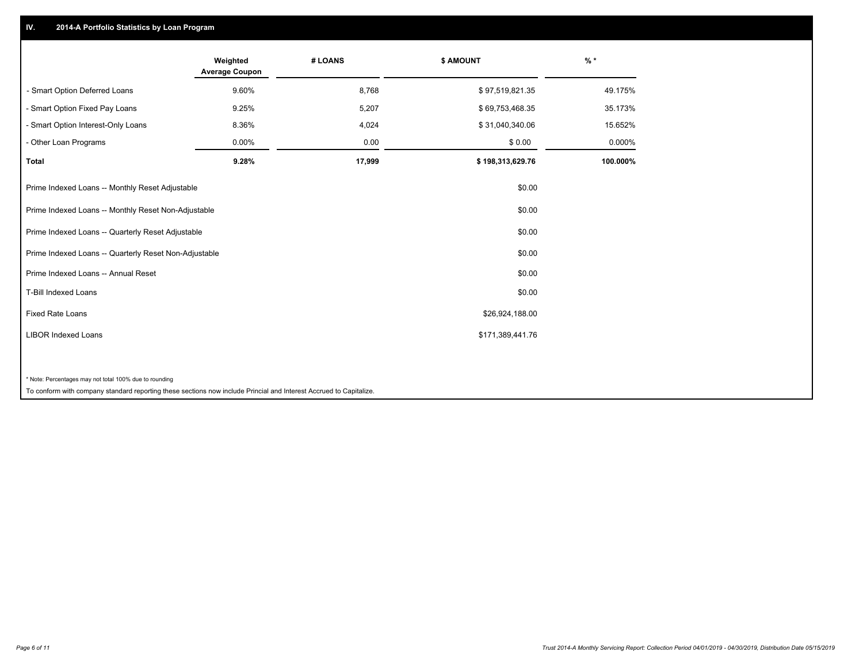## **IV. 2014-A Portfolio Statistics by Loan Program**

|                                                        | Weighted<br><b>Average Coupon</b> | # LOANS | \$ AMOUNT        | $%$ *    |
|--------------------------------------------------------|-----------------------------------|---------|------------------|----------|
| - Smart Option Deferred Loans                          | 9.60%                             | 8,768   | \$97,519,821.35  | 49.175%  |
| - Smart Option Fixed Pay Loans                         | 9.25%                             | 5,207   | \$69,753,468.35  | 35.173%  |
| - Smart Option Interest-Only Loans                     | 8.36%                             | 4,024   | \$31,040,340.06  | 15.652%  |
| - Other Loan Programs                                  | 0.00%                             | 0.00    | \$0.00           | 0.000%   |
| <b>Total</b>                                           | 9.28%                             | 17,999  | \$198,313,629.76 | 100.000% |
| Prime Indexed Loans -- Monthly Reset Adjustable        |                                   |         | \$0.00           |          |
| Prime Indexed Loans -- Monthly Reset Non-Adjustable    |                                   |         | \$0.00           |          |
| Prime Indexed Loans -- Quarterly Reset Adjustable      |                                   |         | \$0.00           |          |
| Prime Indexed Loans -- Quarterly Reset Non-Adjustable  |                                   |         | \$0.00           |          |
| Prime Indexed Loans -- Annual Reset                    |                                   |         | \$0.00           |          |
| <b>T-Bill Indexed Loans</b>                            |                                   |         | \$0.00           |          |
| <b>Fixed Rate Loans</b>                                |                                   |         | \$26,924,188.00  |          |
| <b>LIBOR Indexed Loans</b>                             |                                   |         | \$171,389,441.76 |          |
|                                                        |                                   |         |                  |          |
| * Note: Percentages may not total 100% due to rounding |                                   |         |                  |          |

To conform with company standard reporting these sections now include Princial and Interest Accrued to Capitalize.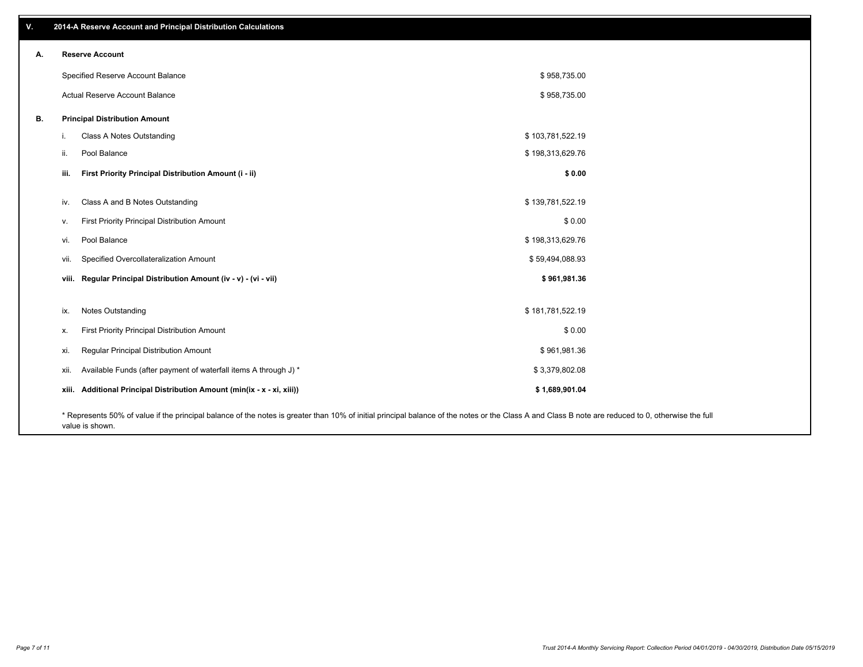| v. |      | 2014-A Reserve Account and Principal Distribution Calculations                                                                                                                                     |                  |  |
|----|------|----------------------------------------------------------------------------------------------------------------------------------------------------------------------------------------------------|------------------|--|
| А. |      | <b>Reserve Account</b>                                                                                                                                                                             |                  |  |
|    |      | Specified Reserve Account Balance                                                                                                                                                                  | \$958,735.00     |  |
|    |      | Actual Reserve Account Balance                                                                                                                                                                     | \$958,735.00     |  |
| В. |      | <b>Principal Distribution Amount</b>                                                                                                                                                               |                  |  |
|    | i.   | Class A Notes Outstanding                                                                                                                                                                          | \$103,781,522.19 |  |
|    | ii.  | Pool Balance                                                                                                                                                                                       | \$198,313,629.76 |  |
|    | iii. | First Priority Principal Distribution Amount (i - ii)                                                                                                                                              | \$0.00           |  |
|    | iv.  | Class A and B Notes Outstanding                                                                                                                                                                    | \$139,781,522.19 |  |
|    | v.   | First Priority Principal Distribution Amount                                                                                                                                                       | \$0.00           |  |
|    | vi.  | Pool Balance                                                                                                                                                                                       | \$198,313,629.76 |  |
|    | vii. | Specified Overcollateralization Amount                                                                                                                                                             | \$59,494,088.93  |  |
|    |      | viii. Regular Principal Distribution Amount (iv - v) - (vi - vii)                                                                                                                                  | \$961,981.36     |  |
|    | ix.  | Notes Outstanding                                                                                                                                                                                  | \$181,781,522.19 |  |
|    | х.   | First Priority Principal Distribution Amount                                                                                                                                                       | \$0.00           |  |
|    | xi.  | Regular Principal Distribution Amount                                                                                                                                                              | \$961,981.36     |  |
|    | xii. | Available Funds (after payment of waterfall items A through J) *                                                                                                                                   | \$3,379,802.08   |  |
|    |      | xiii. Additional Principal Distribution Amount (min(ix - x - xi, xiii))                                                                                                                            | \$1,689,901.04   |  |
|    |      | * Represents 50% of value if the principal balance of the notes is greater than 10% of initial principal balance of the notes or the Class A and Class B note are reduced to 0, otherwise the full |                  |  |

value is shown.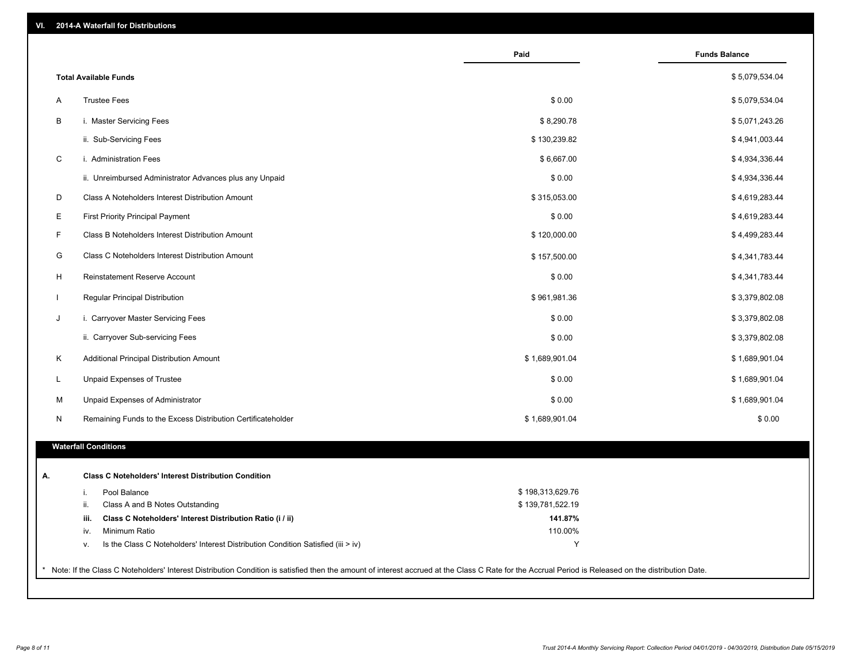| VI. |  | 2014-A Waterfall for Distributions |  |  |  |
|-----|--|------------------------------------|--|--|--|
|-----|--|------------------------------------|--|--|--|

|              |                                                                                        | Paid             | <b>Funds Balance</b> |
|--------------|----------------------------------------------------------------------------------------|------------------|----------------------|
|              | <b>Total Available Funds</b>                                                           |                  | \$5,079,534.04       |
| A            | <b>Trustee Fees</b>                                                                    | \$0.00           | \$5,079,534.04       |
| B            | i. Master Servicing Fees                                                               | \$8,290.78       | \$5,071,243.26       |
|              | ii. Sub-Servicing Fees                                                                 | \$130,239.82     | \$4,941,003.44       |
| C            | i. Administration Fees                                                                 | \$6,667.00       | \$4,934,336.44       |
|              | ii. Unreimbursed Administrator Advances plus any Unpaid                                | \$0.00           | \$4,934,336.44       |
| D            | Class A Noteholders Interest Distribution Amount                                       | \$315,053.00     | \$4,619,283.44       |
| E            | <b>First Priority Principal Payment</b>                                                | \$0.00           | \$4,619,283.44       |
| F            | Class B Noteholders Interest Distribution Amount                                       | \$120,000.00     | \$4,499,283.44       |
|              |                                                                                        |                  |                      |
| G            | Class C Noteholders Interest Distribution Amount                                       | \$157,500.00     | \$4,341,783.44       |
| H            | Reinstatement Reserve Account                                                          | \$0.00           | \$4,341,783.44       |
| $\mathbf{I}$ | Regular Principal Distribution                                                         | \$961,981.36     | \$3,379,802.08       |
| J            | i. Carryover Master Servicing Fees                                                     | \$0.00           | \$3,379,802.08       |
|              | ii. Carryover Sub-servicing Fees                                                       | \$0.00           | \$3,379,802.08       |
| Κ            | Additional Principal Distribution Amount                                               | \$1,689,901.04   | \$1,689,901.04       |
| L            | Unpaid Expenses of Trustee                                                             | \$0.00           | \$1,689,901.04       |
| М            | Unpaid Expenses of Administrator                                                       | \$0.00           | \$1,689,901.04       |
| N            | Remaining Funds to the Excess Distribution Certificateholder                           | \$1,689,901.04   | \$0.00               |
|              | <b>Waterfall Conditions</b>                                                            |                  |                      |
|              | <b>Class C Noteholders' Interest Distribution Condition</b>                            |                  |                      |
|              | Pool Balance<br>i.                                                                     | \$198,313,629.76 |                      |
|              | ii.<br>Class A and B Notes Outstanding                                                 | \$139,781,522.19 |                      |
|              | Class C Noteholders' Interest Distribution Ratio (i / ii)<br>iii.                      | 141.87%          |                      |
|              | Minimum Ratio<br>iv.                                                                   | 110.00%          |                      |
|              | Is the Class C Noteholders' Interest Distribution Condition Satisfied (iii > iv)<br>ν. | Y                |                      |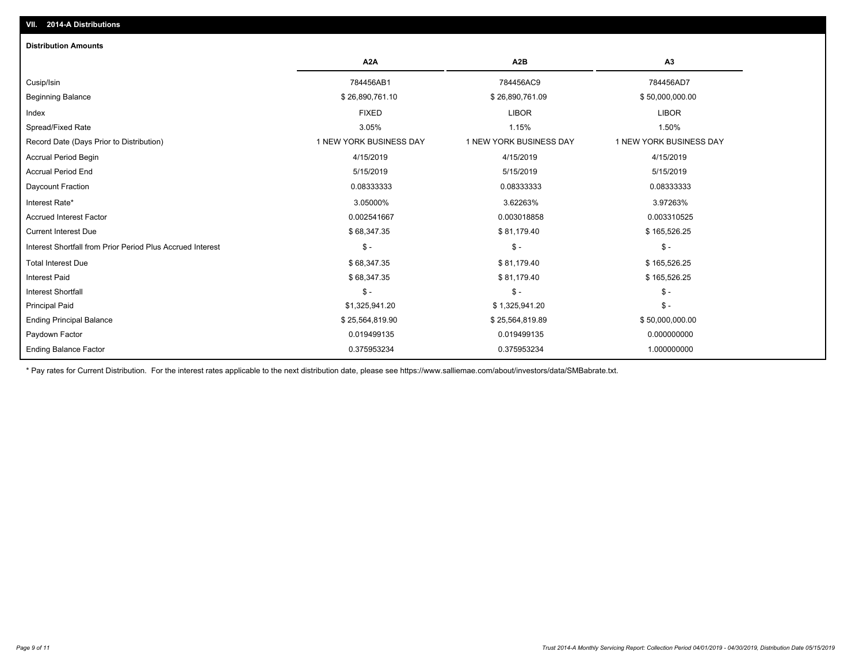| <b>Distribution Amounts</b>                                |                         |                         |                         |
|------------------------------------------------------------|-------------------------|-------------------------|-------------------------|
|                                                            | A <sub>2</sub> A        | A <sub>2</sub> B        | A3                      |
| Cusip/Isin                                                 | 784456AB1               | 784456AC9               | 784456AD7               |
| <b>Beginning Balance</b>                                   | \$26,890,761.10         | \$26,890,761.09         | \$50,000,000.00         |
| Index                                                      | <b>FIXED</b>            | <b>LIBOR</b>            | <b>LIBOR</b>            |
| Spread/Fixed Rate                                          | 3.05%                   | 1.15%                   | 1.50%                   |
| Record Date (Days Prior to Distribution)                   | 1 NEW YORK BUSINESS DAY | 1 NEW YORK BUSINESS DAY | 1 NEW YORK BUSINESS DAY |
| <b>Accrual Period Begin</b>                                | 4/15/2019               | 4/15/2019               | 4/15/2019               |
| <b>Accrual Period End</b>                                  | 5/15/2019               | 5/15/2019               | 5/15/2019               |
| Daycount Fraction                                          | 0.08333333              | 0.08333333              | 0.08333333              |
| Interest Rate*                                             | 3.05000%                | 3.62263%                | 3.97263%                |
| <b>Accrued Interest Factor</b>                             | 0.002541667             | 0.003018858             | 0.003310525             |
| <b>Current Interest Due</b>                                | \$68,347.35             | \$81,179.40             | \$165,526.25            |
| Interest Shortfall from Prior Period Plus Accrued Interest | $\mathcal{S}$ -         | $$ -$                   | $\mathsf{\$}$ -         |
| <b>Total Interest Due</b>                                  | \$68,347.35             | \$81,179.40             | \$165,526.25            |
| <b>Interest Paid</b>                                       | \$68,347.35             | \$81,179.40             | \$165,526.25            |
| <b>Interest Shortfall</b>                                  | $\mathsf{\$}$ -         | $$ -$                   | $$ -$                   |
| <b>Principal Paid</b>                                      | \$1,325,941.20          | \$1,325,941.20          | $$ -$                   |
| <b>Ending Principal Balance</b>                            | \$25,564,819.90         | \$25,564,819.89         | \$50,000,000.00         |
| Paydown Factor                                             | 0.019499135             | 0.019499135             | 0.000000000             |
| <b>Ending Balance Factor</b>                               | 0.375953234             | 0.375953234             | 1.000000000             |

\* Pay rates for Current Distribution. For the interest rates applicable to the next distribution date, please see https://www.salliemae.com/about/investors/data/SMBabrate.txt.

**VII. 2014-A Distributions**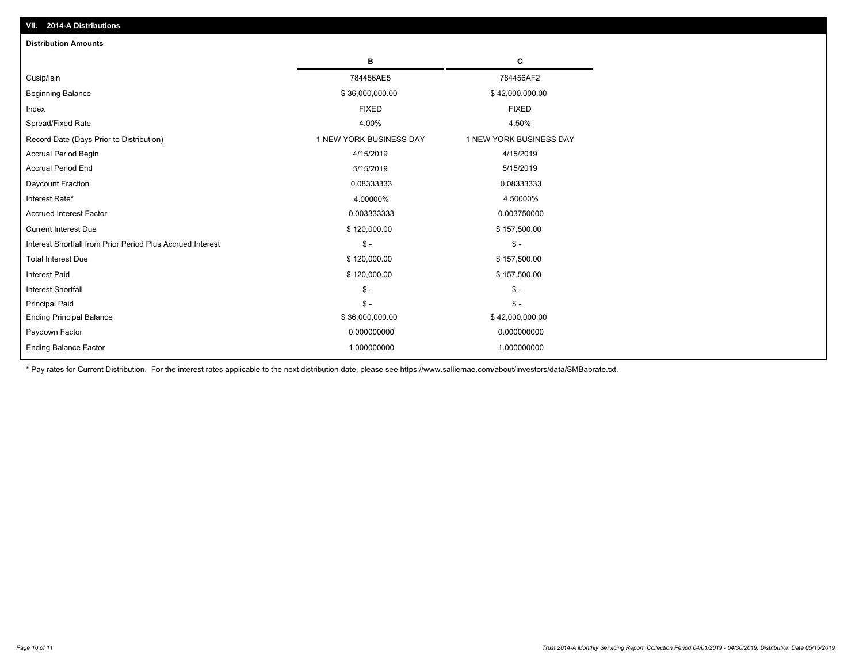| <b>Distribution Amounts</b>                                |                         |                         |
|------------------------------------------------------------|-------------------------|-------------------------|
|                                                            | в                       | C                       |
| Cusip/Isin                                                 | 784456AE5               | 784456AF2               |
| <b>Beginning Balance</b>                                   | \$36,000,000.00         | \$42,000,000.00         |
| Index                                                      | <b>FIXED</b>            | <b>FIXED</b>            |
| Spread/Fixed Rate                                          | 4.00%                   | 4.50%                   |
| Record Date (Days Prior to Distribution)                   | 1 NEW YORK BUSINESS DAY | 1 NEW YORK BUSINESS DAY |
| <b>Accrual Period Begin</b>                                | 4/15/2019               | 4/15/2019               |
| <b>Accrual Period End</b>                                  | 5/15/2019               | 5/15/2019               |
| Daycount Fraction                                          | 0.08333333              | 0.08333333              |
| Interest Rate*                                             | 4.00000%                | 4.50000%                |
| <b>Accrued Interest Factor</b>                             | 0.003333333             | 0.003750000             |
| <b>Current Interest Due</b>                                | \$120,000.00            | \$157,500.00            |
| Interest Shortfall from Prior Period Plus Accrued Interest | $\frac{1}{2}$           | $\frac{1}{2}$           |
| <b>Total Interest Due</b>                                  | \$120,000.00            | \$157,500.00            |
| Interest Paid                                              | \$120,000.00            | \$157,500.00            |
| <b>Interest Shortfall</b>                                  | $\mathsf{\$}$ -         | $\mathsf{\$}$ -         |
| <b>Principal Paid</b>                                      | $\mathsf{\$}$ -         | $\mathsf{\$}$ -         |
| <b>Ending Principal Balance</b>                            | \$36,000,000.00         | \$42,000,000.00         |
| Paydown Factor                                             | 0.000000000             | 0.000000000             |
| <b>Ending Balance Factor</b>                               | 1.000000000             | 1.000000000             |

\* Pay rates for Current Distribution. For the interest rates applicable to the next distribution date, please see https://www.salliemae.com/about/investors/data/SMBabrate.txt.

**VII. 2014-A Distributions**